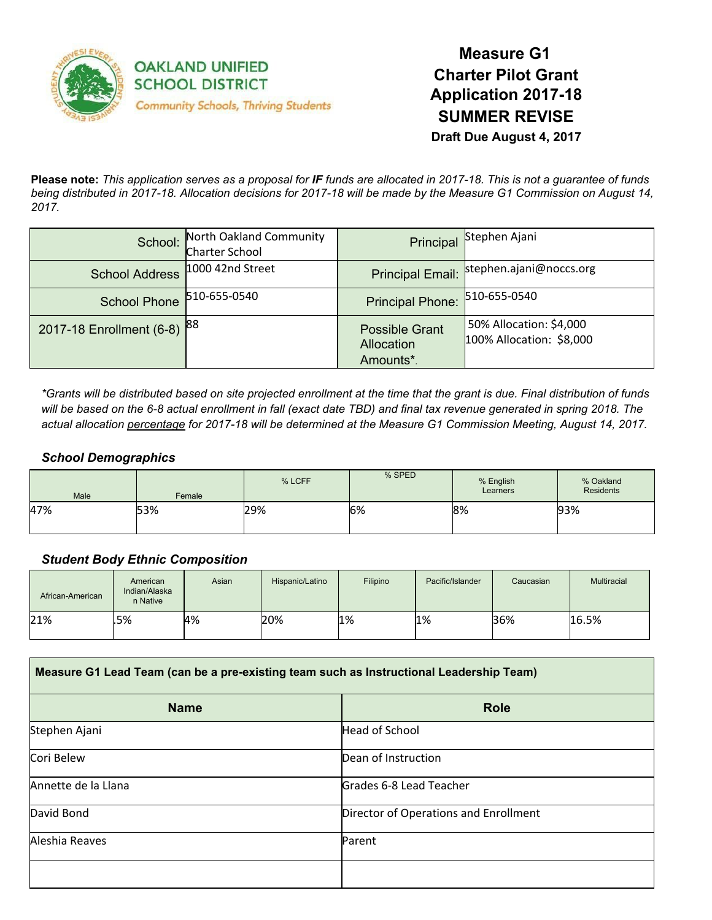

**Measure G1 Charter Pilot Grant Application 2017-18 SUMMER REVISE Draft Due August 4, 2017**

Please note: This application serves as a proposal for IF funds are allocated in 2017-18. This is not a guarantee of funds being distributed in 2017-18. Allocation decisions for 2017-18 will be made by the Measure G1 Commission on August 14, *2017.*

| School:                  | North Oakland Community<br><b>Charter School</b> |                                                  | Principal Stephen Ajani                             |
|--------------------------|--------------------------------------------------|--------------------------------------------------|-----------------------------------------------------|
| <b>School Address</b>    | 1000 42nd Street                                 |                                                  | Principal Email: stephen.ajani@noccs.org            |
| <b>School Phone</b>      | 510-655-0540                                     | Principal Phone: 510-655-0540                    |                                                     |
| 2017-18 Enrollment (6-8) | <b>88</b>                                        | <b>Possible Grant</b><br>Allocation<br>Amounts*. | 50% Allocation: \$4,000<br>100% Allocation: \$8,000 |

\*Grants will be distributed based on site projected enrollment at the time that the grant is due. Final distribution of funds will be based on the 6-8 actual enrollment in fall (exact date TBD) and final tax revenue generated in spring 2018. The actual allocation percentage for 2017-18 will be determined at the Measure G1 Commission Meeting, August 14, 2017.

#### *School Demographics*

| Male | Female | % LCFF | % SPED | % English<br>Learners | % Oakland<br><b>Residents</b> |
|------|--------|--------|--------|-----------------------|-------------------------------|
| 47%  | 53%    | 29%    | 6%     | 8%                    | 93%                           |

#### *Student Body Ethnic Composition*

| African-American | American<br>Indian/Alaska<br>n Native | Asian | Hispanic/Latino | Filipino | Pacific/Islander | Caucasian | <b>Multiracial</b> |
|------------------|---------------------------------------|-------|-----------------|----------|------------------|-----------|--------------------|
| 21%              | .5%                                   | 4%    | 20%             | 1%       | 1%               | 36%       | 16.5%              |

| Measure G1 Lead Team (can be a pre-existing team such as Instructional Leadership Team) |                                       |  |  |
|-----------------------------------------------------------------------------------------|---------------------------------------|--|--|
| <b>Name</b>                                                                             | <b>Role</b>                           |  |  |
| Stephen Ajani                                                                           | <b>Head of School</b>                 |  |  |
| Cori Belew                                                                              | Dean of Instruction                   |  |  |
| Annette de la Llana                                                                     | Grades 6-8 Lead Teacher               |  |  |
| David Bond                                                                              | Director of Operations and Enrollment |  |  |
| Aleshia Reaves                                                                          | Parent                                |  |  |
|                                                                                         |                                       |  |  |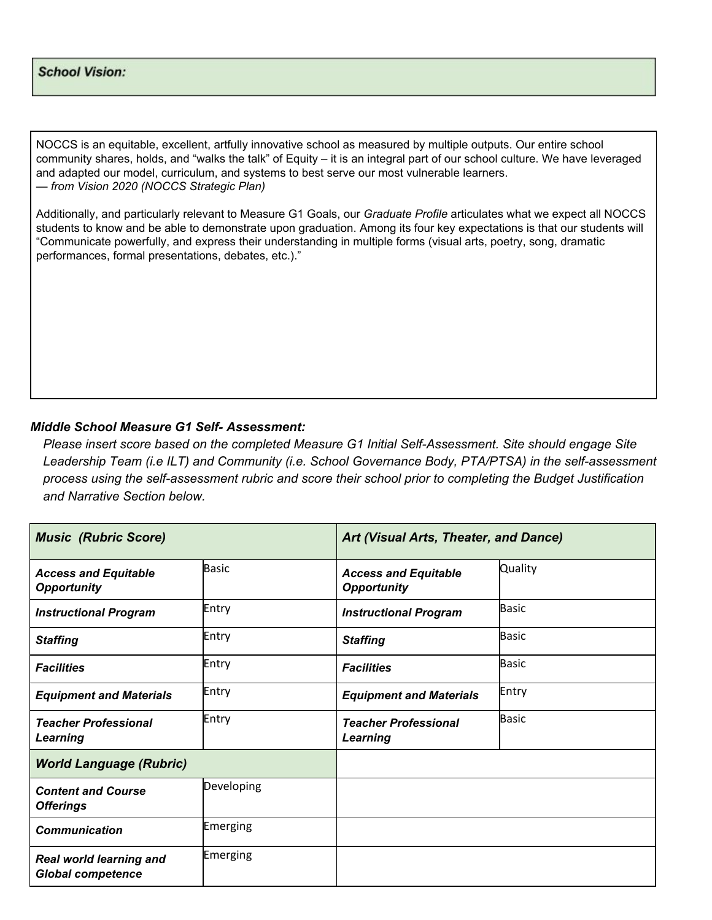#### **School Vision:**

NOCCS is an equitable, excellent, artfully innovative school as measured by multiple outputs. Our entire school community shares, holds, and "walks the talk" of Equity – it is an integral part of our school culture. We have leveraged and adapted our model, curriculum, and systems to best serve our most vulnerable learners. *— from Vision 2020 (NOCCS Strategic Plan)*

Additionally, and particularly relevant to Measure G1 Goals, our *Graduate Profile* articulates what we expect all NOCCS students to know and be able to demonstrate upon graduation. Among its four key expectations is that our students will "Communicate powerfully, and express their understanding in multiple forms (visual arts, poetry, song, dramatic performances, formal presentations, debates, etc.)."

#### *Middle School Measure G1 Self- Assessment:*

*Please insert score based on the completed Measure G1 Initial Self-Assessment. Site should engage Site Leadership Team (i.e ILT) and Community (i.e. School Governance Body, PTA/PTSA) in the self-assessment process using the self-assessment rubric and score their school prior to completing the Budget Justification and Narrative Section below.*

| <b>Music (Rubric Score)</b>                                |              | Art (Visual Arts, Theater, and Dance)             |              |
|------------------------------------------------------------|--------------|---------------------------------------------------|--------------|
| <b>Access and Equitable</b><br><b>Opportunity</b>          | <b>Basic</b> | <b>Access and Equitable</b><br><b>Opportunity</b> | Quality      |
| <b>Instructional Program</b>                               | Entry        | <b>Instructional Program</b>                      | Basic        |
| <b>Staffing</b>                                            | Entry        | <b>Staffing</b>                                   | <b>Basic</b> |
| <b>Facilities</b>                                          | Entry        | <b>Facilities</b>                                 | Basic        |
| <b>Equipment and Materials</b>                             | Entry        | <b>Equipment and Materials</b>                    | Entry        |
| <b>Teacher Professional</b><br>Learning                    | Entry        | <b>Teacher Professional</b><br>Learning           | <b>Basic</b> |
| <b>World Language (Rubric)</b>                             |              |                                                   |              |
| <b>Content and Course</b><br><b>Offerings</b>              | Developing   |                                                   |              |
| <b>Communication</b>                                       | Emerging     |                                                   |              |
| <b>Real world learning and</b><br><b>Global competence</b> | Emerging     |                                                   |              |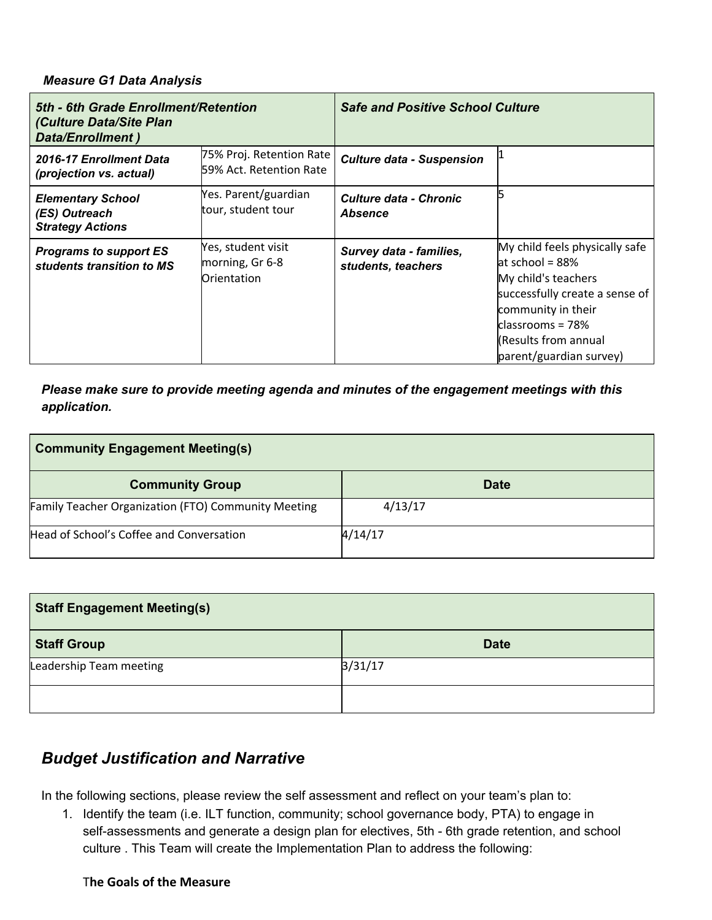#### *Measure G1 Data Analysis*

| 5th - 6th Grade Enrollment/Retention<br>(Culture Data/Site Plan<br><b>Data/Enrollment)</b> |                                                      | <b>Safe and Positive School Culture</b>         |                                                                                                                                                                                                                     |  |
|--------------------------------------------------------------------------------------------|------------------------------------------------------|-------------------------------------------------|---------------------------------------------------------------------------------------------------------------------------------------------------------------------------------------------------------------------|--|
| 2016-17 Enrollment Data<br>(projection vs. actual)                                         | 75% Proj. Retention Rate<br>59% Act. Retention Rate  | <b>Culture data - Suspension</b>                |                                                                                                                                                                                                                     |  |
| <b>Elementary School</b><br>(ES) Outreach<br><b>Strategy Actions</b>                       | Yes. Parent/guardian<br>tour, student tour           | <b>Culture data - Chronic</b><br><b>Absence</b> |                                                                                                                                                                                                                     |  |
| <b>Programs to support ES</b><br>students transition to MS                                 | Yes, student visit<br>morning, Gr 6-8<br>Orientation | Survey data - families,<br>students, teachers   | My child feels physically safe<br>at school = $88\%$<br>My child's teachers<br>successfully create a sense of<br>community in their<br>$classrooms = 78%$<br><b>KResults from annual</b><br>parent/guardian survey) |  |

*Please make sure to provide meeting agenda and minutes of the engagement meetings with this application.*

| <b>Community Engagement Meeting(s)</b>                     |             |  |  |
|------------------------------------------------------------|-------------|--|--|
| <b>Community Group</b>                                     | <b>Date</b> |  |  |
| <b>Family Teacher Organization (FTO) Community Meeting</b> | 4/13/17     |  |  |
| Head of School's Coffee and Conversation                   | 4/14/17     |  |  |

| <b>Staff Engagement Meeting(s)</b> |             |  |
|------------------------------------|-------------|--|
| <b>Staff Group</b>                 | <b>Date</b> |  |
| Leadership Team meeting            | 3/31/17     |  |
|                                    |             |  |

## *Budget Justification and Narrative*

In the following sections, please review the self assessment and reflect on your team's plan to:

1. Identify the team (i.e. ILT function, community; school governance body, PTA) to engage in self-assessments and generate a design plan for electives, 5th - 6th grade retention, and school culture . This Team will create the Implementation Plan to address the following:

## T**he Goals of the Measure**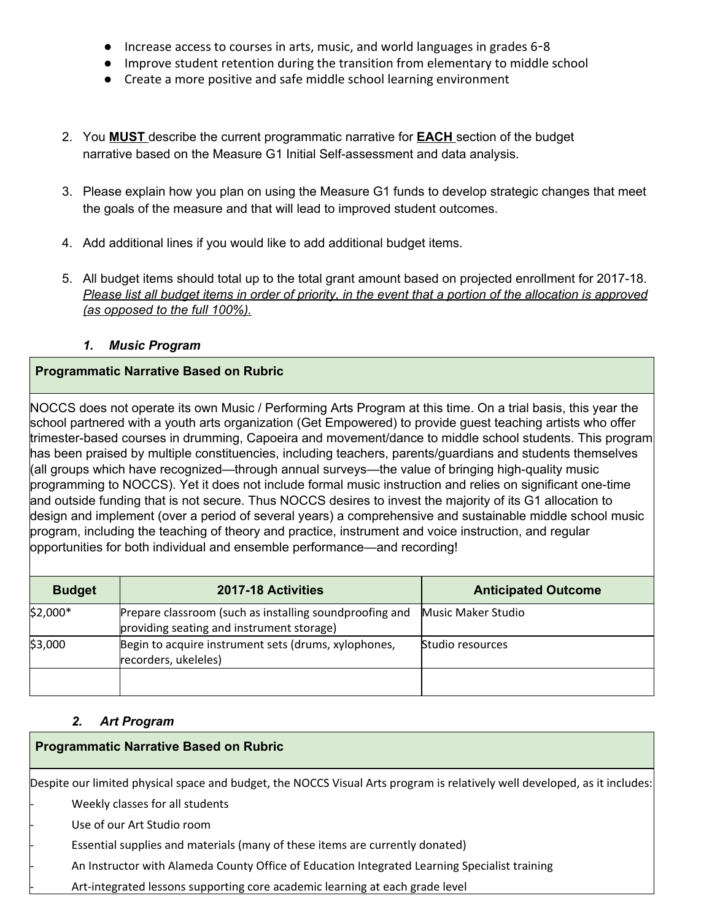- Increase access to courses in arts, music, and world languages in grades 6-8
- Improve student retention during the transition from elementary to middle school
- Create a more positive and safe middle school learning environment
- 2. You **MUST** describe the current programmatic narrative for **EACH** section of the budget narrative based on the Measure G1 Initial Self-assessment and data analysis.
- 3. Please explain how you plan on using the Measure G1 funds to develop strategic changes that meet the goals of the measure and that will lead to improved student outcomes.
- 4. Add additional lines if you would like to add additional budget items.
- 5. All budget items should total up to the total grant amount based on projected enrollment for 2017-18. Please list all budget items in order of priority, in the event that a portion of the allocation is approved *(as opposed to the full 100%).*

## *1. Music Program*

## **Programmatic Narrative Based on Rubric**

NOCCS does not operate its own Music / Performing Arts Program at this time. On a trial basis, this year the school partnered with a youth arts organization (Get Empowered) to provide guest teaching artists who offer trimester-based courses in drumming, Capoeira and movement/dance to middle school students. This program has been praised by multiple constituencies, including teachers, parents/guardians and students themselves (all groups which have recognized—through annual surveys—the value of bringing high-quality music programming to NOCCS). Yet it does not include formal music instruction and relies on significant one-time and outside funding that is not secure. Thus NOCCS desires to invest the majority of its G1 allocation to design and implement (over a period of several years) a comprehensive and sustainable middle school music program, including the teaching of theory and practice, instrument and voice instruction, and regular opportunities for both individual and ensemble performance—and recording!

| <b>Budget</b> | 2017-18 Activities                                                                                   | <b>Anticipated Outcome</b> |
|---------------|------------------------------------------------------------------------------------------------------|----------------------------|
| $$2,000*$     | Prepare classroom (such as installing soundproofing and<br>providing seating and instrument storage) | Music Maker Studio         |
| \$3,000       | Begin to acquire instrument sets (drums, xylophones,<br>recorders, ukeleles)                         | Studio resources           |
|               |                                                                                                      |                            |

#### *2. Art Program*

## **Programmatic Narrative Based on Rubric**

Despite our limited physical space and budget, the NOCCS Visual Arts program is relatively well developed, as it includes:

Weekly classes for all students

Use of our Art Studio room

Essential supplies and materials (many of these items are currently donated)

- An Instructor with Alameda County Office of Education Integrated Learning Specialist training

Art-integrated lessons supporting core academic learning at each grade level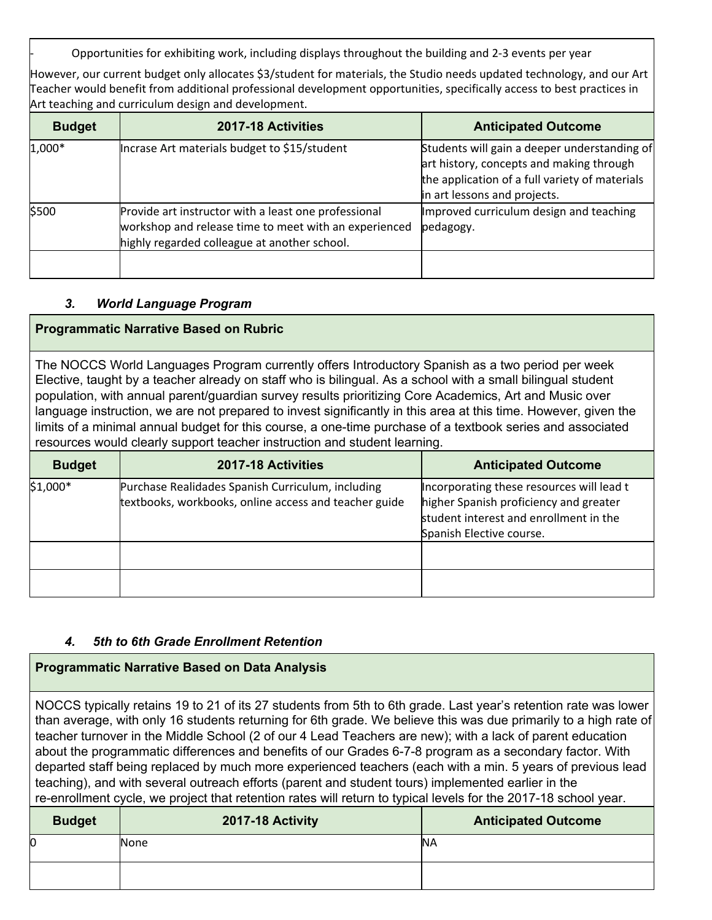- Opportunities for exhibiting work, including displays throughout the building and 2-3 events per year

However, our current budget only allocates \$3/student for materials, the Studio needs updated technology, and our Art Teacher would benefit from additional professional development opportunities, specifically access to best practices in Art teaching and curriculum design and development.

| <b>Budget</b> | 2017-18 Activities                                                                                                                                            | <b>Anticipated Outcome</b>                                                                                                                                                 |
|---------------|---------------------------------------------------------------------------------------------------------------------------------------------------------------|----------------------------------------------------------------------------------------------------------------------------------------------------------------------------|
| $1,000*$      | Incrase Art materials budget to \$15/student                                                                                                                  | Students will gain a deeper understanding of<br>art history, concepts and making through<br>the application of a full variety of materials<br>in art lessons and projects. |
| \$500         | Provide art instructor with a least one professional<br>workshop and release time to meet with an experienced<br>highly regarded colleague at another school. | Improved curriculum design and teaching<br>pedagogy.                                                                                                                       |
|               |                                                                                                                                                               |                                                                                                                                                                            |

#### *3. World Language Program*

#### **Programmatic Narrative Based on Rubric**

The NOCCS World Languages Program currently offers Introductory Spanish as a two period per week Elective, taught by a teacher already on staff who is bilingual. As a school with a small bilingual student population, with annual parent/guardian survey results prioritizing Core Academics, Art and Music over language instruction, we are not prepared to invest significantly in this area at this time. However, given the limits of a minimal annual budget for this course, a one-time purchase of a textbook series and associated resources would clearly support teacher instruction and student learning.

| <b>Budget</b> | 2017-18 Activities                                                                                         | <b>Anticipated Outcome</b>                                                                                                                                |
|---------------|------------------------------------------------------------------------------------------------------------|-----------------------------------------------------------------------------------------------------------------------------------------------------------|
| $$1,000*$     | Purchase Realidades Spanish Curriculum, including<br>textbooks, workbooks, online access and teacher guide | Incorporating these resources will lead t<br>higher Spanish proficiency and greater<br>student interest and enrollment in the<br>Spanish Elective course. |
|               |                                                                                                            |                                                                                                                                                           |
|               |                                                                                                            |                                                                                                                                                           |

#### *4. 5th to 6th Grade Enrollment Retention*

#### **Programmatic Narrative Based on Data Analysis**

NOCCS typically retains 19 to 21 of its 27 students from 5th to 6th grade. Last year's retention rate was lower than average, with only 16 students returning for 6th grade. We believe this was due primarily to a high rate of teacher turnover in the Middle School (2 of our 4 Lead Teachers are new); with a lack of parent education about the programmatic differences and benefits of our Grades 6-7-8 program as a secondary factor. With departed staff being replaced by much more experienced teachers (each with a min. 5 years of previous lead teaching), and with several outreach efforts (parent and student tours) implemented earlier in the re-enrollment cycle, we project that retention rates will return to typical levels for the 2017-18 school year.

| <b>Budget</b> | 2017-18 Activity | <b>Anticipated Outcome</b> |
|---------------|------------------|----------------------------|
|               | None             | <b>NA</b>                  |
|               |                  |                            |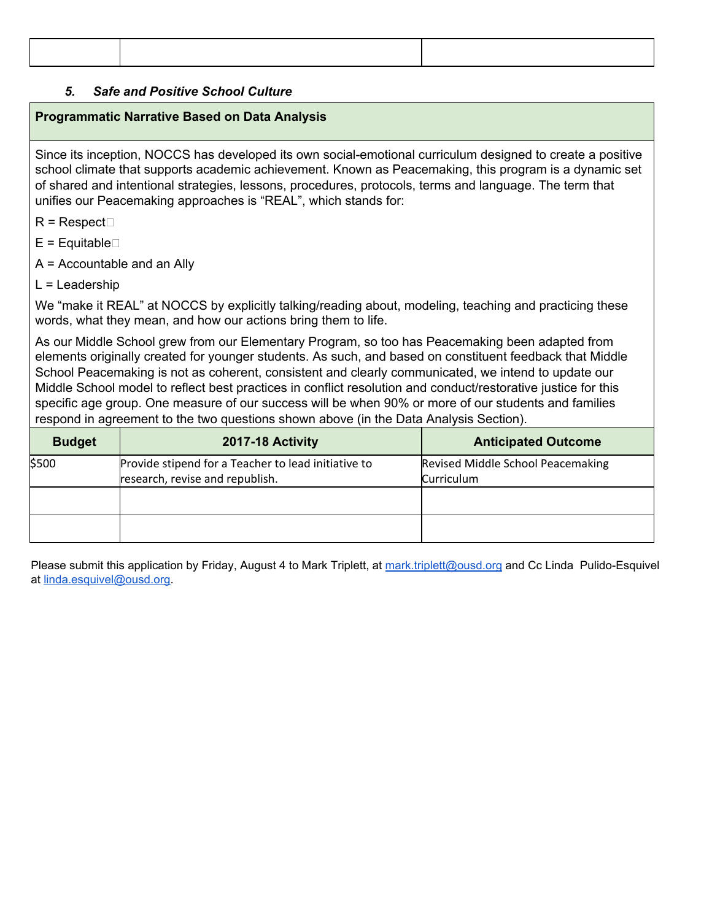## *5. Safe and Positive School Culture*

### **Programmatic Narrative Based on Data Analysis**

Since its inception, NOCCS has developed its own social-emotional curriculum designed to create a positive school climate that supports academic achievement. Known as Peacemaking, this program is a dynamic set of shared and intentional strategies, lessons, procedures, protocols, terms and language. The term that unifies our Peacemaking approaches is "REAL", which stands for:

 $R$  = Respect $\Box$ 

 $E =$ Equitable $\square$ 

A = Accountable and an Ally

 $L =$  Leadership

We "make it REAL" at NOCCS by explicitly talking/reading about, modeling, teaching and practicing these words, what they mean, and how our actions bring them to life.

As our Middle School grew from our Elementary Program, so too has Peacemaking been adapted from elements originally created for younger students. As such, and based on constituent feedback that Middle School Peacemaking is not as coherent, consistent and clearly communicated, we intend to update our Middle School model to reflect best practices in conflict resolution and conduct/restorative justice for this specific age group. One measure of our success will be when 90% or more of our students and families respond in agreement to the two questions shown above (in the Data Analysis Section).

| <b>Budget</b> | 2017-18 Activity                                    | <b>Anticipated Outcome</b>        |
|---------------|-----------------------------------------------------|-----------------------------------|
| \$500         | Provide stipend for a Teacher to lead initiative to | Revised Middle School Peacemaking |
|               | research, revise and republish.                     | Curriculum                        |
|               |                                                     |                                   |
|               |                                                     |                                   |

Please submit this application by Friday, August 4 to Mark Triplett, at [mark.triplett@ousd.org](mailto:mark.triplett@ousd.org) and Cc Linda Pulido-Esquivel at [linda.esquivel@ousd.org.](mailto:linda.esquivel@ousd.org)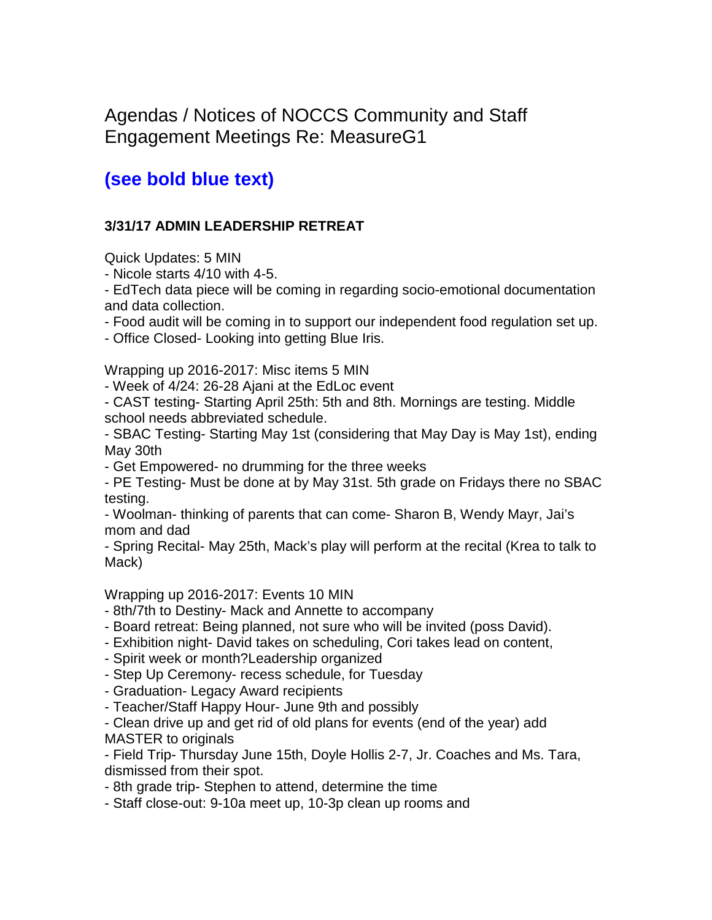Agendas / Notices of NOCCS Community and Staff Engagement Meetings Re: MeasureG1

# **(see bold blue text)**

## **3/31/17 ADMIN LEADERSHIP RETREAT**

Quick Updates: 5 MIN

- Nicole starts 4/10 with 4-5.

- EdTech data piece will be coming in regarding socio-emotional documentation and data collection.

- Food audit will be coming in to support our independent food regulation set up.

- Office Closed- Looking into getting Blue Iris.

Wrapping up 2016-2017: Misc items 5 MIN

- Week of 4/24: 26-28 Ajani at the EdLoc event

- CAST testing- Starting April 25th: 5th and 8th. Mornings are testing. Middle school needs abbreviated schedule.

- SBAC Testing- Starting May 1st (considering that May Day is May 1st), ending May 30th

- Get Empowered- no drumming for the three weeks

- PE Testing- Must be done at by May 31st. 5th grade on Fridays there no SBAC testing.

- Woolman- thinking of parents that can come- Sharon B, Wendy Mayr, Jai's mom and dad

- Spring Recital- May 25th, Mack's play will perform at the recital (Krea to talk to Mack)

Wrapping up 2016-2017: Events 10 MIN

- 8th/7th to Destiny- Mack and Annette to accompany

- Board retreat: Being planned, not sure who will be invited (poss David).

- Exhibition night- David takes on scheduling, Cori takes lead on content,

- Spirit week or month?Leadership organized

- Step Up Ceremony- recess schedule, for Tuesday

- Graduation- Legacy Award recipients

- Teacher/Staff Happy Hour- June 9th and possibly

- Clean drive up and get rid of old plans for events (end of the year) add MASTER to originals

- Field Trip- Thursday June 15th, Doyle Hollis 2-7, Jr. Coaches and Ms. Tara, dismissed from their spot.

- 8th grade trip- Stephen to attend, determine the time

- Staff close-out: 9-10a meet up, 10-3p clean up rooms and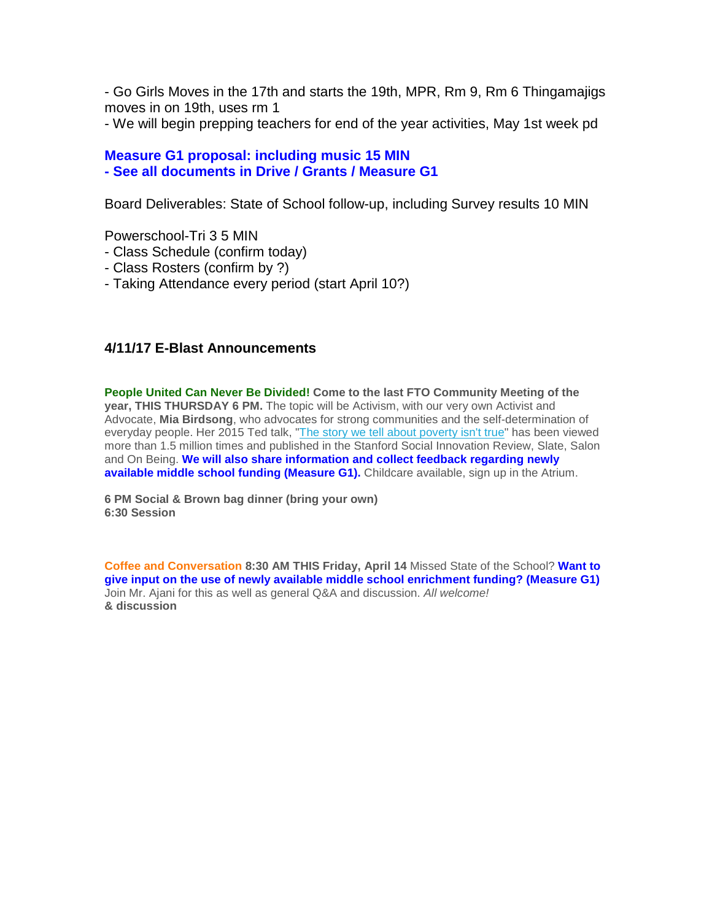- Go Girls Moves in the 17th and starts the 19th, MPR, Rm 9, Rm 6 Thingamajigs moves in on 19th, uses rm 1

- We will begin prepping teachers for end of the year activities, May 1st week pd

## **Measure G1 proposal: including music 15 MIN - See all documents in Drive / Grants / Measure G1**

Board Deliverables: State of School follow-up, including Survey results 10 MIN

Powerschool-Tri 3 5 MIN

- Class Schedule (confirm today)
- Class Rosters (confirm by ?)
- Taking Attendance every period (start April 10?)

## **4/11/17 E-Blast Announcements**

**People United Can Never Be Divided! Come to the last FTO Community Meeting of the year, THIS THURSDAY 6 PM.** The topic will be Activism, with our very own Activist and Advocate, **Mia Birdsong**, who advocates for strong communities and the self-determination of everyday people. Her 2015 Ted talk, ["The story we tell about poverty isn't true"](https://www.ted.com/talks/mia_birdsong_the_story_we_tell_about_poverty_isn_t_true?language=en) has been viewed more than 1.5 million times and published in the Stanford Social Innovation Review, Slate, Salon and On Being. **We will also share information and collect feedback regarding newly**  available middle school funding (Measure G1). Childcare available, sign up in the Atrium.

**6 PM Social & Brown bag dinner (bring your own) 6:30 Session** 

**Coffee and Conversation 8:30 AM THIS Friday, April 14** Missed State of the School? **Want to give input on the use of newly available middle school enrichment funding? (Measure G1)** Join Mr. Ajani for this as well as general Q&A and discussion. *All welcome!* **& discussion**